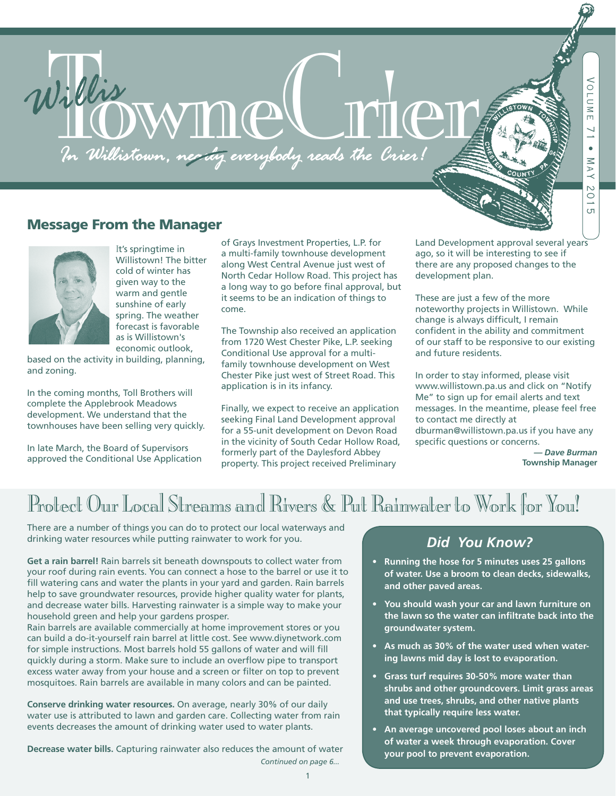# Willis WYNDO FILO

## Message From the Manager



<sup>I</sup>t's springtime in Willistown! The bitter cold of winter has given way to the warm and gentle sunshine of early spring. The weather forecast is favorable as is Willistown's economic outlook,

based on the activity in building, planning, and zoning.

In the coming months, Toll Brothers will complete the Applebrook Meadows development. We understand that the townhouses have been selling very quickly.

In late March, the Board of Supervisors approved the Conditional Use Application of Grays Investment Properties, L.P. for a multi-family townhouse development along West Central Avenue just west of North Cedar Hollow Road. This project has a long way to go before final approval, but it seems to be an indication of things to come.

The Township also received an application from 1720 West Chester Pike, L.P. seeking Conditional Use approval for a multifamily townhouse development on West Chester Pike just west of Street Road. This application is in its infancy.

Finally, we expect to receive an application seeking Final Land Development approval for a 55-unit development on Devon Road in the vicinity of South Cedar Hollow Road, formerly part of the Daylesford Abbey property. This project received Preliminary

Land Development approval several years ago, so it will be interesting to see if there are any proposed changes to the development plan.

These are just a few of the more noteworthy projects in Willistown. While change is always difficult, I remain confident in the ability and commitment of our staff to be responsive to our existing and future residents.

In order to stay informed, please visit www.willistown.pa.us and click on "Notify Me" to sign up for email alerts and text messages. In the meantime, please feel free to contact me directly at dburman@willistown.pa.us if you have any specific questions or concerns.

> *— Dave Burman*  **Township Manager**

*Continued on page 4*

# Protect Our Local Streams and Rivers & Put Rainwater to Work for You!

There are a number of things you can do to protect our local waterways and drinking water resources while putting rainwater to work for you.

**Get a rain barrel!** Rain barrels sit beneath downspouts to collect water from your roof during rain events. You can connect a hose to the barrel or use it to fill watering cans and water the plants in your yard and garden. Rain barrels help to save groundwater resources, provide higher quality water for plants, and decrease water bills. Harvesting rainwater is a simple way to make your household green and help your gardens prosper.

Rain barrels are available commercially at home improvement stores or you can build a do-it-yourself rain barrel at little cost. See www.diynetwork.com for simple instructions. Most barrels hold 55 gallons of water and will fill quickly during a storm. Make sure to include an overflow pipe to transport excess water away from your house and a screen or filter on top to prevent mosquitoes. Rain barrels are available in many colors and can be painted.

**Conserve drinking water resources.** On average, nearly 30% of our daily water use is attributed to lawn and garden care. Collecting water from rain events decreases the amount of drinking water used to water plants.

**Decrease water bills.** Capturing rainwater also reduces the amount of water

## *Did You Know?*

- **• Running the hose for 5 minutes uses 25 gallons of water. Use a broom to clean decks, sidewalks, and other paved areas.**
- **• You should wash your car and lawn furniture on the lawn so the water can infiltrate back into the groundwater system.**
- **• As much as 30% of the water used when watering lawns mid day is lost to evaporation.**
- **• Grass turf requires 30-50% more water than shrubs and other groundcovers. Limit grass areas and use trees, shrubs, and other native plants that typically require less water.**
- **• An average uncovered pool loses about an inch of water a week through evaporation. Cover your pool to prevent evaporation.** *Continued on page 6...*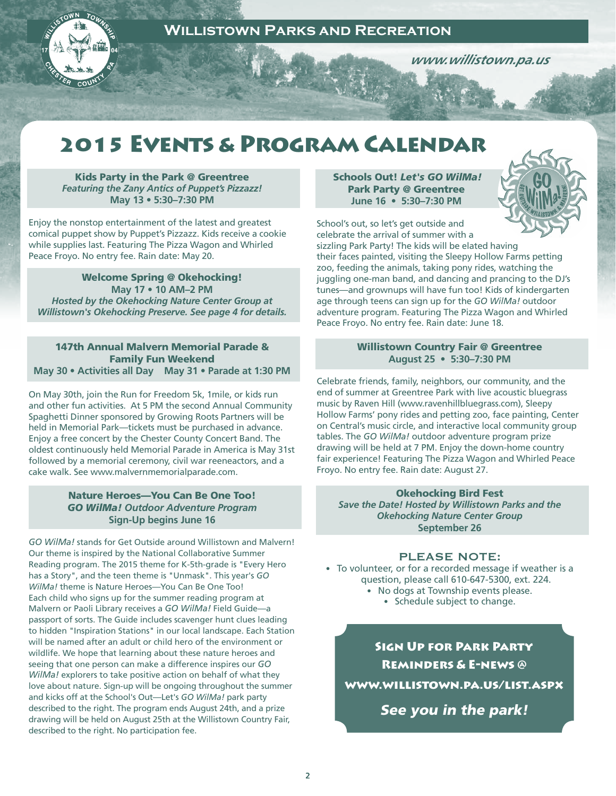

 *www.willistown.pa.us*

# 2015 Events & Program Calendar

Kids Party in the Park @ Greentree *Featuring the Zany Antics of Puppet's Pizzazz!* **May 13 • 5:30–7:30 PM**

Enjoy the nonstop entertainment of the latest and greatest comical puppet show by Puppet's Pizzazz. Kids receive a cookie while supplies last. Featuring The Pizza Wagon and Whirled Peace Froyo. No entry fee. Rain date: May 20.

Welcome Spring @ Okehocking! **May 17 • 10 AM–2 PM**  *Hosted by the Okehocking Nature Center Group at Willistown's Okehocking Preserve. See page 4 for details.*

147th Annual Malvern Memorial Parade & Family Fun Weekend **May 30 • Activities all Day May 31 • Parade at 1:30 PM** 

On May 30th, join the Run for Freedom 5k, 1mile, or kids run and other fun activities. At 5 PM the second Annual Community Spaghetti Dinner sponsored by Growing Roots Partners will be held in Memorial Park—tickets must be purchased in advance. Enjoy a free concert by the Chester County Concert Band. The oldest continuously held Memorial Parade in America is May 31st followed by a memorial ceremony, civil war reeneactors, and a cake walk. See www.malvernmemorialparade.com.

## Nature Heroes—You Can Be One Too! *GO WilMa! Outdoor Adventure Program*  **Sign-Up begins June 16**

*GO WilMa!* stands for Get Outside around Willistown and Malvern! Our theme is inspired by the National Collaborative Summer Reading program. The 2015 theme for K-5th-grade is "Every Hero has a Story", and the teen theme is "Unmask". This year's *GO WilMa!* theme is Nature Heroes—You Can Be One Too! Each child who signs up for the summer reading program at Malvern or Paoli Library receives a *GO WilMa!* Field Guide—a passport of sorts. The Guide includes scavenger hunt clues leading to hidden "Inspiration Stations" in our local landscape. Each Station will be named after an adult or child hero of the environment or wildlife. We hope that learning about these nature heroes and seeing that one person can make a difference inspires our *GO WilMa!* explorers to take positive action on behalf of what they love about nature. Sign-up will be ongoing throughout the summer and kicks off at the School's Out—Let's *GO WilMa!* park party described to the right. The program ends August 24th, and a prize drawing will be held on August 25th at the Willistown Country Fair, described to the right. No participation fee.

Schools Out! *Let's GO WilMa!* Park Party @ Greentree  **June 16 • 5:30–7:30 PM** 



School's out, so let's get outside and celebrate the arrival of summer with a sizzling Park Party! The kids will be elated having their faces painted, visiting the Sleepy Hollow Farms petting zoo, feeding the animals, taking pony rides, watching the juggling one-man band, and dancing and prancing to the DJ's tunes—and grownups will have fun too! Kids of kindergarten age through teens can sign up for the *GO WilMa!* outdoor adventure program. Featuring The Pizza Wagon and Whirled Peace Froyo. No entry fee. Rain date: June 18.

## Willistown Country Fair @ Greentree **August 25 • 5:30–7:30 PM**

Celebrate friends, family, neighbors, our community, and the end of summer at Greentree Park with live acoustic bluegrass music by Raven Hill (www.ravenhillbluegrass.com), Sleepy Hollow Farms' pony rides and petting zoo, face painting, Center on Central's music circle, and interactive local community group tables. The *GO WilMa!* outdoor adventure program prize drawing will be held at 7 PM. Enjoy the down-home country fair experience! Featuring The Pizza Wagon and Whirled Peace Froyo. No entry fee. Rain date: August 27.

## Okehocking Bird Fest

*Save the Date! Hosted by Willistown Parks and the Okehocking Nature Center Group* **September 26** 

## PLEASE NOTE:

• To volunteer, or for a recorded message if weather is a question, please call 610-647-5300, ext. 224.

- No dogs at Township events please.
	- Schedule subject to change.

Sign Up for Park Party Reminders & E-news @ www.willistown.pa.us/list.aspx

See you in the park!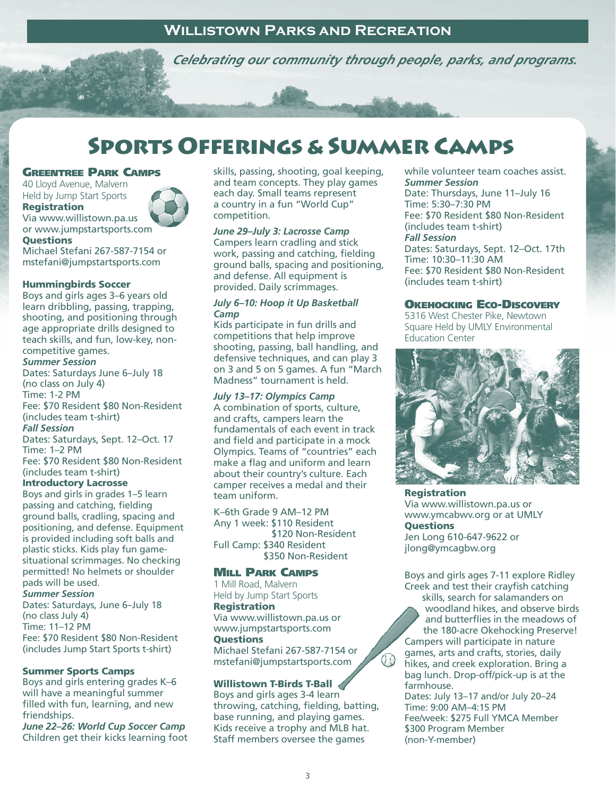*www.willistown.pa.us Celebrating our community through people, parks, and programs.*

# Sports Offerings & Summer Camps

## Greentree Park Camps

40 Lloyd Avenue, Malvern Held by Jump Start Sports **Registration** Via www.willistown.pa.us or www.jumpstartsports.com



**Questions** Michael Stefani 267-587-7154 or mstefani@jumpstartsports.com

## Hummingbirds Soccer

Boys and girls ages 3–6 years old learn dribbling, passing, trapping, shooting, and positioning through age appropriate drills designed to teach skills, and fun, low-key, noncompetitive games.

## *Summer Session*

Dates: Saturdays June 6–July 18 (no class on July 4) Time: 1-2 PM Fee: \$70 Resident \$80 Non-Resident (includes team t-shirt) *Fall Session* Dates: Saturdays, Sept. 12–Oct. 17 Time: 1–2 PM

Fee: \$70 Resident \$80 Non-Resident (includes team t-shirt)

## Introductory Lacrosse

Boys and girls in grades 1–5 learn passing and catching, fielding ground balls, cradling, spacing and positioning, and defense. Equipment is provided including soft balls and plastic sticks. Kids play fun gamesituational scrimmages. No checking permitted! No helmets or shoulder pads will be used. *Summer Session*

Dates: Saturdays, June 6–July 18 (no class July 4) Time: 11–12 PM Fee: \$70 Resident \$80 Non-Resident (includes Jump Start Sports t-shirt)

## Summer Sports Camps

Boys and girls entering grades K–6 will have a meaningful summer filled with fun, learning, and new friendships.

*June 22–26: World Cup Soccer Camp* Children get their kicks learning foot skills, passing, shooting, goal keeping, and team concepts. They play games each day. Small teams represent a country in a fun "World Cup" competition.

## *June 29–July 3: Lacrosse Camp*

Campers learn cradling and stick work, passing and catching, fielding ground balls, spacing and positioning, and defense. All equipment is provided. Daily scrimmages.

## *July 6–10: Hoop it Up Basketball Camp*

Kids participate in fun drills and competitions that help improve shooting, passing, ball handling, and defensive techniques, and can play 3 on 3 and 5 on 5 games. A fun "March Madness" tournament is held.

## *July 13–17: Olympics Camp*

A combination of sports, culture, and crafts, campers learn the fundamentals of each event in track and field and participate in a mock Olympics. Teams of "countries" each make a flag and uniform and learn about their country's culture. Each camper receives a medal and their team uniform.

K–6th Grade 9 AM–12 PM Any 1 week: \$110 Resident \$120 Non-Resident Full Camp: \$340 Resident \$350 Non-Resident

## Mill Park Camps

1 Mill Road, Malvern Held by Jump Start Sports Registration Via www.willistown.pa.us or www.jumpstartsports.com **Ouestions** Michael Stefani 267-587-7154 or mstefani@jumpstartsports.com

## Willistown T-Birds T-Ball

Boys and girls ages 3-4 learn throwing, catching, fielding, batting, base running, and playing games. Kids receive a trophy and MLB hat. Staff members oversee the games

while volunteer team coaches assist. *Summer Session*

Date: Thursdays, June 11–July 16 Time: 5:30–7:30 PM Fee: \$70 Resident \$80 Non-Resident (includes team t-shirt) *Fall Session* Dates: Saturdays, Sept. 12–Oct. 17th Time: 10:30–11:30 AM Fee: \$70 Resident \$80 Non-Resident (includes team t-shirt)

## Okehocking Eco-Discovery

5316 West Chester Pike, Newtown Square Held by UMLY Environmental Education Center



Registration Via www.willistown.pa.us or www.ymcabwv.org or at UMLY **Ouestions** Jen Long 610-647-9622 or jlong@ymcagbw.org

Boys and girls ages 7-11 explore Ridley Creek and test their crayfish catching

skills, search for salamanders on woodland hikes, and observe birds and butterflies in the meadows of the 180-acre Okehocking Preserve! Campers will participate in nature games, arts and crafts, stories, daily hikes, and creek exploration. Bring a bag lunch. Drop-off/pick-up is at the farmhouse.

Dates: July 13–17 and/or July 20–24 Time: 9:00 AM–4:15 PM Fee/week: \$275 Full YMCA Member \$300 Program Member (non-Y-member)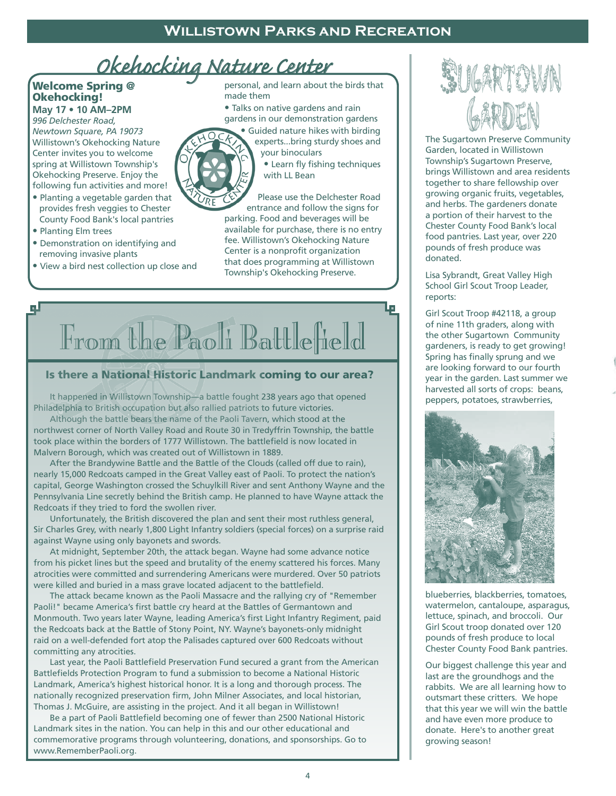# *Okehocking Nature Center*

## Welcome Spring @ Okehocking!

**May 17 • 10 AM–2PM** *996 Delchester Road, Newtown Square, PA 19073* Willistown's Okehocking Nature Center invites you to welcome spring at Willistown Township's

Okehocking Preserve. Enjoy the following fun activities and more! **•** Planting a vegetable garden that

- provides fresh veggies to Chester County Food Bank's local pantries
- Planting Elm trees
- Demonstration on identifying and removing invasive plants
- View a bird nest collection up close and

personal, and learn about the birds that made them

**•** Talks on native gardens and rain gardens in our demonstration gardens

**•** Guided nature hikes with birding experts...bring sturdy shoes and



your binoculars **•** Learn fly fishing techniques with LL Bean

г.

Please use the Delchester Road entrance and follow the signs for parking. Food and beverages will be available for purchase, there is no entry fee. Willistown's Okehocking Nature Center is a nonprofit organization that does programming at Willistown Township's Okehocking Preserve.

# الرو From the Paoli Battlefield

## Is there a National Historic Landmark coming to our area?

 It happened in Willistown Township—a battle fought 238 years ago that opened Philadelphia to British occupation but also rallied patriots to future victories.

 Although the battle bears the name of the Paoli Tavern, which stood at the northwest corner of North Valley Road and Route 30 in Tredyffrin Township, the battle took place within the borders of 1777 Willistown. The battlefield is now located in Malvern Borough, which was created out of Willistown in 1889.

 After the Brandywine Battle and the Battle of the Clouds (called off due to rain), nearly 15,000 Redcoats camped in the Great Valley east of Paoli. To protect the nation's capital, George Washington crossed the Schuylkill River and sent Anthony Wayne and the Pennsylvania Line secretly behind the British camp. He planned to have Wayne attack the Redcoats if they tried to ford the swollen river.

 Unfortunately, the British discovered the plan and sent their most ruthless general, Sir Charles Grey, with nearly 1,800 Light Infantry soldiers (special forces) on a surprise raid against Wayne using only bayonets and swords.

 At midnight, September 20th, the attack began. Wayne had some advance notice from his picket lines but the speed and brutality of the enemy scattered his forces. Many atrocities were committed and surrendering Americans were murdered. Over 50 patriots were killed and buried in a mass grave located adjacent to the battlefield.

 The attack became known as the Paoli Massacre and the rallying cry of "Remember Paoli!" became America's first battle cry heard at the Battles of Germantown and Monmouth. Two years later Wayne, leading America's first Light Infantry Regiment, paid the Redcoats back at the Battle of Stony Point, NY. Wayne's bayonets-only midnight raid on a well-defended fort atop the Palisades captured over 600 Redcoats without committing any atrocities.

 Last year, the Paoli Battlefield Preservation Fund secured a grant from the American Battlefields Protection Program to fund a submission to become a National Historic Landmark, America's highest historical honor. It is a long and thorough process. The nationally recognized preservation firm, John Milner Associates, and local historian, Thomas J. McGuire, are assisting in the project. And it all began in Willistown!

 Be a part of Paoli Battlefield becoming one of fewer than 2500 National Historic Landmark sites in the nation. You can help in this and our other educational and commemorative programs through volunteering, donations, and sponsorships. Go to www.RememberPaoli.org.

The Sugartown Preserve Community Garden, located in Willistown Township's Sugartown Preserve, brings Willistown and area residents together to share fellowship over growing organic fruits, vegetables, and herbs. The gardeners donate a portion of their harvest to the Chester County Food Bank's local food pantries. Last year, over 220 pounds of fresh produce was donated.

Lisa Sybrandt, Great Valley High School Girl Scout Troop Leader, reports:

Girl Scout Troop #42118, a group of nine 11th graders, along with the other Sugartown Community gardeners, is ready to get growing! Spring has finally sprung and we are looking forward to our fourth year in the garden. Last summer we harvested all sorts of crops: beans, peppers, potatoes, strawberries,



blueberries, blackberries, tomatoes, watermelon, cantaloupe, asparagus, lettuce, spinach, and broccoli. Our Girl Scout troop donated over 120 pounds of fresh produce to local Chester County Food Bank pantries.

Our biggest challenge this year and last are the groundhogs and the rabbits. We are all learning how to outsmart these critters. We hope that this year we will win the battle and have even more produce to donate. Here's to another great growing season!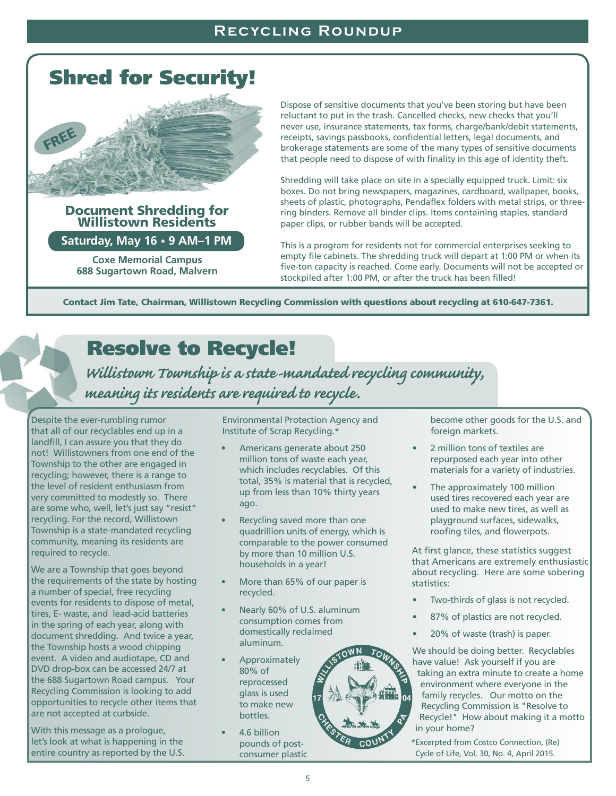# Shred for Security!



# Document Shredding for Willistown Residents

**Saturday, May 16 • 9 AM–1 PM**

**Coxe Memorial Campus 688 Sugartown Road, Malvern** Dispose of sensitive documents that you've been storing but have been reluctant to put in the trash. Cancelled checks, new checks that you'll never use, insurance statements, tax forms, charge/bank/debit statements, receipts, savings passbooks, confidential letters, legal documents, and brokerage statements are some of the many types of sensitive documents that people need to dispose of with finality in this age of identity theft.

Shredding will take place on site in a specially equipped truck. Limit: six boxes. Do not bring newspapers, magazines, cardboard, wallpaper, books, sheets of plastic, photographs, Pendaflex folders with metal strips, or threering binders. Remove all binder clips. Items containing staples, standard paper clips, or rubber bands will be accepted.

This is a program for residents not for commercial enterprises seeking to empty file cabinets. The shredding truck will depart at 1:00 PM or when its five-ton capacity is reached. Come early. Documents will not be accepted or stockpiled after 1:00 PM, or after the truck has been filled!

Contact Jim Tate, Chairman, Willistown Recycling Commission with questions about recycling at 610-647-7361.

# Resolve to Recycle!

*Willistown Township is a state-mandated recycling community, meaning its residents are required to recycle.*

Despite the ever-rumbling rumor that all of our recyclables end up in a landfill, I can assure you that they do not! Willistowners from one end of the Township to the other are engaged in recycling; however, there is a range to the level of resident enthusiasm from very committed to modestly so. There are some who, well, let's just say "resist" recycling. For the record, Willistown Township is a state-mandated recycling community, meaning its residents are required to recycle. 

We are a Township that goes beyond the requirements of the state by hosting a number of special, free recycling events for residents to dispose of metal, tires, E- waste, and lead-acid batteries in the spring of each year, along with document shredding. And twice a year, the Township hosts a wood chipping event. A video and audiotape, CD and DVD drop-box can be accessed 24/7 at the 688 Sugartown Road campus. Your Recycling Commission is looking to add opportunities to recycle other items that are not accepted at curbside.

With this message as a prologue, let's look at what is happening in the entire country as reported by the U.S. Environmental Protection Agency and Institute of Scrap Recycling.\*

- Americans generate about 250 million tons of waste each year, which includes recyclables. Of this total, 35% is material that is recycled, up from less than 10% thirty years ago.
- Recycling saved more than one quadrillion units of energy, which is comparable to the power consumed by more than 10 million U.S. households in a year!
- More than 65% of our paper is recycled.
- Nearly 60% of U.S. aluminum consumption comes from domestically reclaimed aluminum.
- Approximately 80% of reprocessed glass is used to make new bottles.
- 4.6 billion pounds of postconsumer plastic

become other goods for the U.S. and foreign markets.

- 2 million tons of textiles are repurposed each year into other materials for a variety of industries.
- The approximately 100 million used tires recovered each year are used to make new tires, as well as playground surfaces, sidewalks, roofing tiles, and flowerpots.

At first glance, these statistics suggest that Americans are extremely enthusiastic about recycling. Here are some sobering statistics:

- Two-thirds of glass is not recycled.
- 87% of plastics are not recycled.
- 20% of waste (trash) is paper.

We should be doing better. Recyclables have value! Ask yourself if you are

taking an extra minute to create a home environment where everyone in the family recycles. Our motto on the Recycling Commission is "Resolve to Recycle!" How about making it a motto in your home?

\*Excerpted from Costco Connection, (Re) Cycle of Life, Vol. 30, No. 4, April 2015.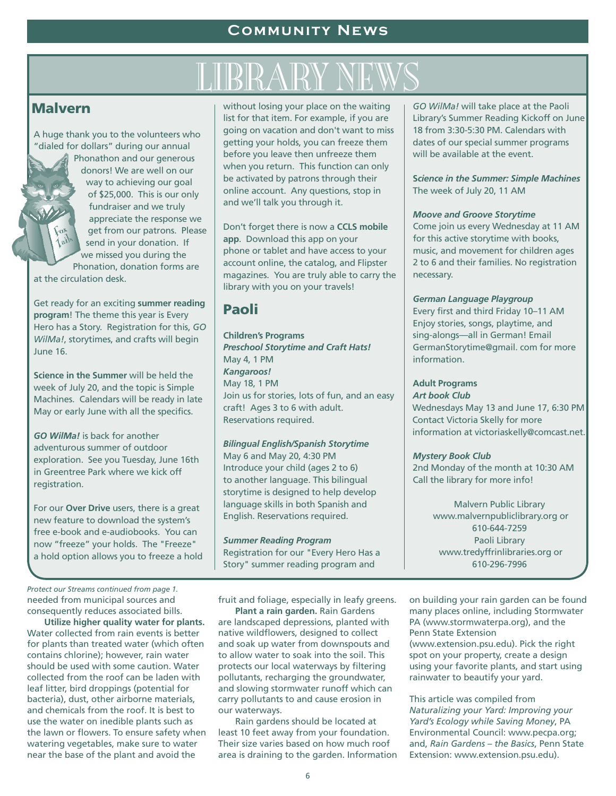## **Malvern**

A huge thank you to the volunteers who "dialed for dollars" during our annual

> Phonathon and our generous donors! We are well on our way to achieving our goal of \$25,000. This is our only fundraiser and we truly appreciate the response we get from our patrons. Please send in your donation. If we missed you during the

Phonation, donation forms are at the circulation desk.

Get ready for an exciting **summer reading program**! The theme this year is Every Hero has a Story. Registration for this, *GO WilMa!*, storytimes, and crafts will begin June 16.

**Science in the Summer** will be held the week of July 20, and the topic is Simple Machines. Calendars will be ready in late May or early June with all the specifics.

*GO WilMa!* is back for another adventurous summer of outdoor exploration. See you Tuesday, June 16th in Greentree Park where we kick off registration.

For our **Over Drive** users, there is a great new feature to download the system's free e-book and e-audiobooks. You can now "freeze" your holds. The "Freeze" a hold option allows you to freeze a hold

without losing your place on the waiting list for that item. For example, if you are going on vacation and don't want to miss getting your holds, you can freeze them before you leave then unfreeze them when you return. This function can only be activated by patrons through their online account. Any questions, stop in and we'll talk you through it. WELL AND TO THE WARD WAS SERVED TO THE WARD WITH THE WAY OF THE WAVE WAS SERVED TO THE UP TO THE UP TO THE UP TO THE UP TO THE UP TO THE UP TO THE UP TO THE UP TO THE UP TO THE UP TO THE UP TO THE UP TO THE UP TO THE UP TO

> Don't forget there is now a **CCLS mobile app**. Download this app on your phone or tablet and have access to your account online, the catalog, and Flipster magazines. You are truly able to carry the library with you on your travels!

## Paoli

## **Children's Programs** *Preschool Storytime and Craft Hats!*  May 4, 1 PM *Kangaroos!*  May 18, 1 PM Join us for stories, lots of fun, and an easy craft! Ages 3 to 6 with adult.

Reservations required.

## *Bilingual English/Spanish Storytime*

May 6 and May 20, 4:30 PM Introduce your child (ages 2 to 6) to another language. This bilingual storytime is designed to help develop language skills in both Spanish and English. Reservations required.

*Summer Reading Program* Registration for our "Every Hero Has a Story" summer reading program and

fruit and foliage, especially in leafy greens.

 **Plant a rain garden.** Rain Gardens are landscaped depressions, planted with native wildflowers, designed to collect and soak up water from downspouts and to allow water to soak into the soil. This protects our local waterways by filtering pollutants, recharging the groundwater, and slowing stormwater runoff which can carry pollutants to and cause erosion in our waterways.

 Rain gardens should be located at least 10 feet away from your foundation. Their size varies based on how much roof area is draining to the garden. Information *GO WilMa!* will take place at the Paoli Library's Summer Reading Kickoff on June 18 from 3:30-5:30 PM. Calendars with dates of our special summer programs will be available at the event.

**S***cience in the Summer: Simple Machines*  The week of July 20, 11 AM

## *Moove and Groove Storytime*

Come join us every Wednesday at 11 AM for this active storytime with books, music, and movement for children ages 2 to 6 and their families. No registration necessary.

## *German Language Playgroup*

Every first and third Friday 10–11 AM Enjoy stories, songs, playtime, and sing-alongs—all in German! Email GermanStorytime@gmail. com for more information.

### **Adult Programs** *Art book Club*

Wednesdays May 13 and June 17, 6:30 PM Contact Victoria Skelly for more information at victoriaskelly@comcast.net.

## *Mystery Book Club*

2nd Monday of the month at 10:30 AM Call the library for more info!

> Malvern Public Library www.malvernpubliclibrary.org or 610-644-7259 Paoli Library www.tredyffrinlibraries.org or 610-296-7996

on building your rain garden can be found many places online, including Stormwater PA (www.stormwaterpa.org), and the Penn State Extension (www.extension.psu.edu). Pick the right spot on your property, create a design using your favorite plants, and start using rainwater to beautify your yard.

This article was compiled from *Naturalizing your Yard: Improving your Yard's Ecology while Saving Money*, PA Environmental Council: www.pecpa.org; and, *Rain Gardens – the Basics*, Penn State Extension: www.extension.psu.edu).

needed from municipal sources and consequently reduces associated bills.  *Protect our Streams continued from page 1.*

 **Utilize higher quality water for plants.**  Water collected from rain events is better for plants than treated water (which often contains chlorine); however, rain water should be used with some caution. Water collected from the roof can be laden with leaf litter, bird droppings (potential for bacteria), dust, other airborne materials, and chemicals from the roof. It is best to use the water on inedible plants such as the lawn or flowers. To ensure safety when watering vegetables, make sure to water near the base of the plant and avoid the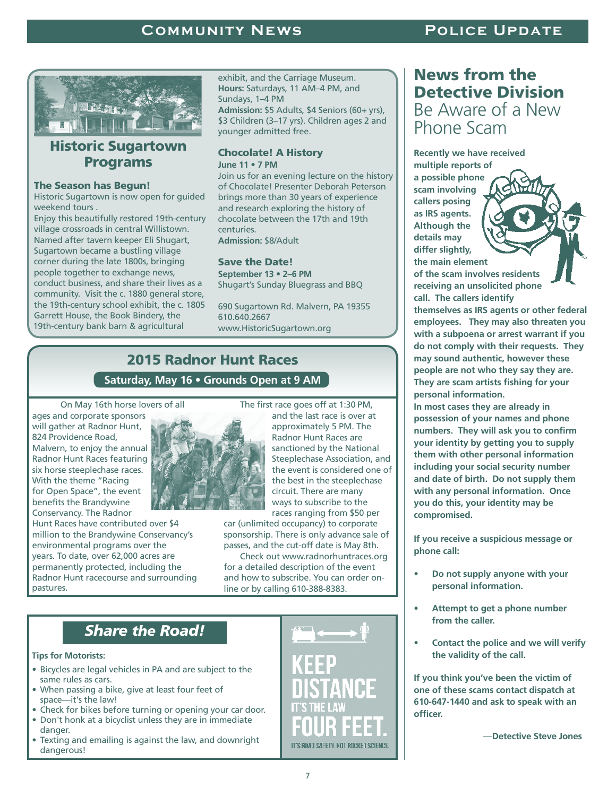## **COMMUNITY NEWS POLICE UPDATE**



## **Historic Sugartown** Programs

## The Season has Begun!

Historic Sugartown is now open for guided weekend tours .

Enjoy this beautifully restored 19th-century village crossroads in central Willistown. Named after tavern keeper Eli Shugart, Sugartown became a bustling village corner during the late 1800s, bringing people together to exchange news, conduct business, and share their lives as a community. Visit the c. 1880 general store, the 19th-century school exhibit, the c. 1805 Garrett House, the Book Bindery, the 19th-century bank barn & agricultural

exhibit, and the Carriage Museum. **Hours:** Saturdays, 11 AM–4 PM, and Sundays, 1–4 PM **Admission:** \$5 Adults, \$4 Seniors (60+ yrs), \$3 Children (3–17 yrs). Children ages 2 and younger admitted free.

## Chocolate! A History **June 11 • 7 PM**

Join us for an evening lecture on the history of Chocolate! Presenter Deborah Peterson brings more than 30 years of experience and research exploring the history of chocolate between the 17th and 19th centuries. **Admission:** \$8/Adult

## Save the Date!

**September 13 • 2–6 PM** Shugart's Sunday Bluegrass and BBQ

690 Sugartown Rd. Malvern, PA 19355 610.640.2667 www.HistoricSugartown.org

## 2015 Radnor Hunt Races

## **Saturday, May 16 • Grounds Open at 9 AM**

On May 16th horse lovers of all

ages and corporate sponsors will gather at Radnor Hunt, 824 Providence Road, Malvern, to enjoy the annual Radnor Hunt Races featuring six horse steeplechase races. With the theme "Racing for Open Space", the event benefits the Brandywine Conservancy. The Radnor

Hunt Races have contributed over \$4 million to the Brandywine Conservancy's environmental programs over the years. To date, over 62,000 acres are permanently protected, including the Radnor Hunt racecourse and surrounding pastures.



 The first race goes off at 1:30 PM,and the last race is over at approximately 5 PM. The Radnor Hunt Races are sanctioned by the National Steeplechase Association, and the event is considered one of the best in the steeplechase circuit. There are many ways to subscribe to the races ranging from \$50 per

car (unlimited occupancy) to corporate sponsorship. There is only advance sale of passes, and the cut-off date is May 8th.

 Check out www.radnorhuntraces.org for a detailed description of the event and how to subscribe. You can order online or by calling 610-388-8383.

## *Share the Road!*

**Tips for Motorists:**

- Bicycles are legal vehicles in PA and are subject to the same rules as cars.
- When passing a bike, give at least four feet of space—it's the law!
- Check for bikes before turning or opening your car door. • Don't honk at a bicyclist unless they are in immediate
- danger.
- Texting and emailing is against the law, and downright dangerous!



## News from the Detective Division Be Aware of a New Phone Scam

**Recently we have received multiple reports of a possible phone scam involving callers posing as IRS agents. Although the details may differ slightly, the main element of the scam involves residents receiving an unsolicited phone call. The callers identify** 

**themselves as IRS agents or other federal employees. They may also threaten you with a subpoena or arrest warrant if you do not comply with their requests. They may sound authentic, however these people are not who they say they are. They are scam artists fishing for your personal information.**

**In most cases they are already in possession of your names and phone numbers. They will ask you to confirm your identity by getting you to supply them with other personal information including your social security number and date of birth. Do not supply them with any personal information. Once you do this, your identity may be compromised.**

**If you receive a suspicious message or phone call:**

- **• Do not supply anyone with your personal information.**
- **• Attempt to get a phone number from the caller.**
- **• Contact the police and we will verify the validity of the call.**

**If you think you've been the victim of one of these scams contact dispatch at 610-647-1440 and ask to speak with an officer.**

—**Detective Steve Jones**